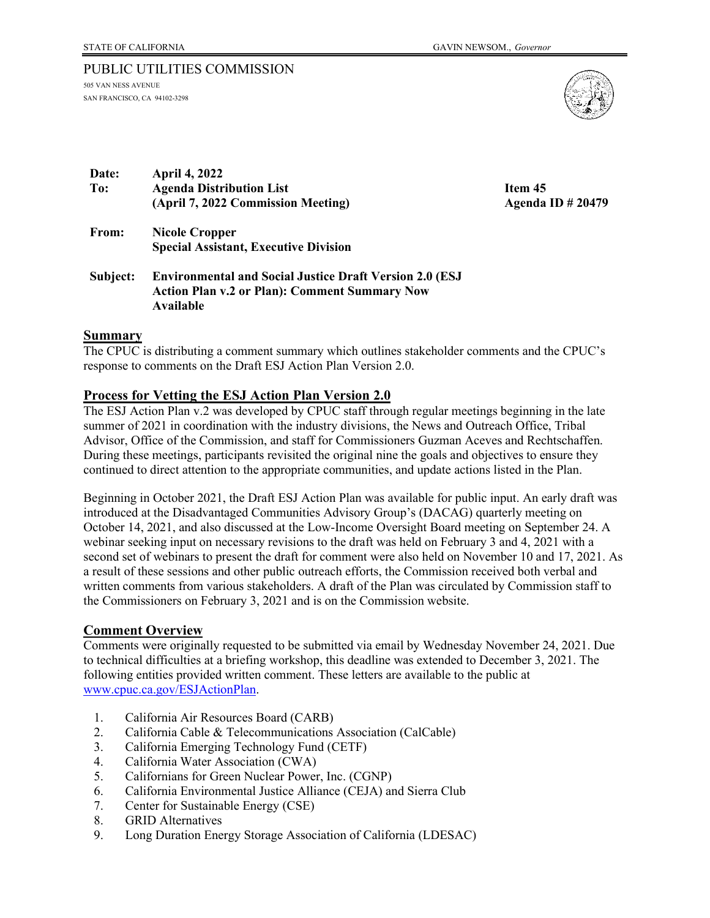## PUBLIC UTILITIES COMMISSION

505 VAN NESS AVENUE SAN FRANCISCO, CA 94102-3298



| <b>April 4, 2022</b>                                            |                          |
|-----------------------------------------------------------------|--------------------------|
| <b>Agenda Distribution List</b>                                 | Item 45                  |
| (April 7, 2022 Commission Meeting)                              | <b>Agenda ID # 20479</b> |
| <b>Nicole Cropper</b>                                           |                          |
| <b>Special Assistant, Executive Division</b>                    |                          |
| <b>Environmental and Social Justice Draft Version 2.0 (ESJ)</b> |                          |
| <b>Action Plan v.2 or Plan): Comment Summary Now</b>            |                          |
| Available                                                       |                          |
|                                                                 |                          |

#### **Summary**

The CPUC is distributing a comment summary which outlines stakeholder comments and the CPUC's response to comments on the Draft ESJ Action Plan Version 2.0.

#### **Process for Vetting the ESJ Action Plan Version 2.0**

The ESJ Action Plan v.2 was developed by CPUC staff through regular meetings beginning in the late summer of 2021 in coordination with the industry divisions, the News and Outreach Office, Tribal Advisor, Office of the Commission, and staff for Commissioners Guzman Aceves and Rechtschaffen. During these meetings, participants revisited the original nine the goals and objectives to ensure they continued to direct attention to the appropriate communities, and update actions listed in the Plan.

Beginning in October 2021, the Draft ESJ Action Plan was available for public input. An early draft was introduced at the Disadvantaged Communities Advisory Group's (DACAG) quarterly meeting on October 14, 2021, and also discussed at the Low-Income Oversight Board meeting on September 24. A webinar seeking input on necessary revisions to the draft was held on February 3 and 4, 2021 with a second set of webinars to present the draft for comment were also held on November 10 and 17, 2021. As a result of these sessions and other public outreach efforts, the Commission received both verbal and written comments from various stakeholders. A draft of the Plan was circulated by Commission staff to the Commissioners on February 3, 2021 and is on the Commission website.

#### **Comment Overview**

Comments were originally requested to be submitted via email by Wednesday November 24, 2021. Due to technical difficulties at a briefing workshop, this deadline was extended to December 3, 2021. The following entities provided written comment. These letters are available to the public at [www.cpuc.ca.gov/ESJActionPlan.](http://www.cpuc.ca.gov/ESJActionPlan)

- 1. California Air Resources Board (CARB)
- 2. California Cable & Telecommunications Association (CalCable)
- 3. California Emerging Technology Fund (CETF)
- 4. California Water Association (CWA)
- 5. Californians for Green Nuclear Power, Inc. (CGNP)
- 6. California Environmental Justice Alliance (CEJA) and Sierra Club
- 7. Center for Sustainable Energy (CSE)
- 8. GRID Alternatives
- 9. Long Duration Energy Storage Association of California (LDESAC)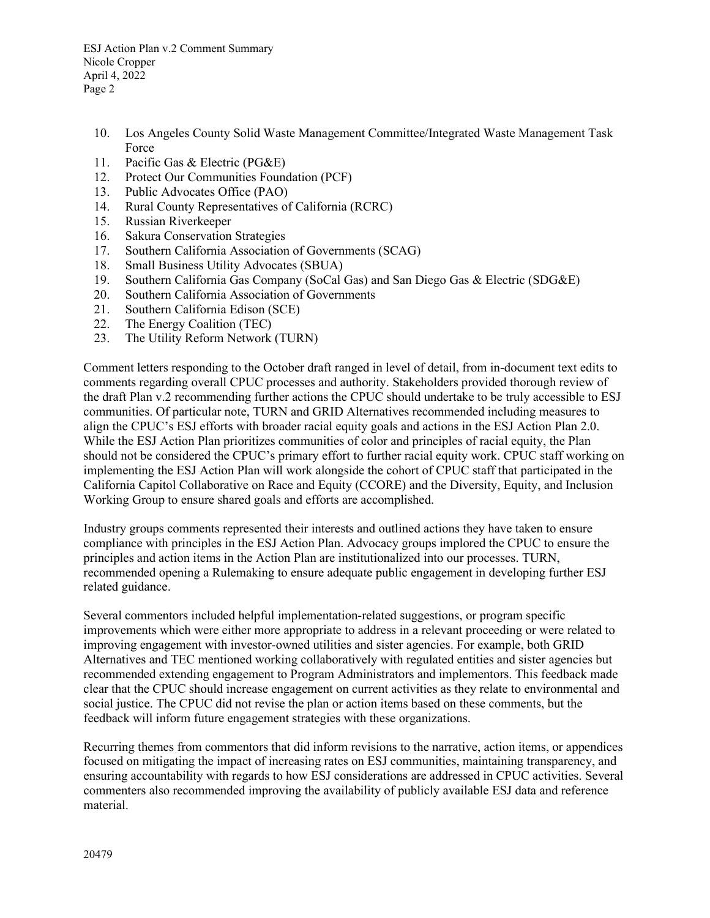- 10. Los Angeles County Solid Waste Management Committee/Integrated Waste Management Task Force
- 11. Pacific Gas & Electric (PG&E)
- 12. Protect Our Communities Foundation (PCF)
- 13. Public Advocates Office (PAO)
- 14. Rural County Representatives of California (RCRC)
- 15. Russian Riverkeeper
- 16. Sakura Conservation Strategies
- 17. Southern California Association of Governments (SCAG)
- 18. Small Business Utility Advocates (SBUA)
- 19. Southern California Gas Company (SoCal Gas) and San Diego Gas & Electric (SDG&E)
- 20. Southern California Association of Governments
- 21. Southern California Edison (SCE)
- 22. The Energy Coalition (TEC)
- 23. The Utility Reform Network (TURN)

Comment letters responding to the October draft ranged in level of detail, from in-document text edits to comments regarding overall CPUC processes and authority. Stakeholders provided thorough review of the draft Plan v.2 recommending further actions the CPUC should undertake to be truly accessible to ESJ communities. Of particular note, TURN and GRID Alternatives recommended including measures to align the CPUC's ESJ efforts with broader racial equity goals and actions in the ESJ Action Plan 2.0. While the ESJ Action Plan prioritizes communities of color and principles of racial equity, the Plan should not be considered the CPUC's primary effort to further racial equity work. CPUC staff working on implementing the ESJ Action Plan will work alongside the cohort of CPUC staff that participated in the California Capitol Collaborative on Race and Equity (CCORE) and the Diversity, Equity, and Inclusion Working Group to ensure shared goals and efforts are accomplished.

Industry groups comments represented their interests and outlined actions they have taken to ensure compliance with principles in the ESJ Action Plan. Advocacy groups implored the CPUC to ensure the principles and action items in the Action Plan are institutionalized into our processes. TURN, recommended opening a Rulemaking to ensure adequate public engagement in developing further ESJ related guidance.

Several commentors included helpful implementation-related suggestions, or program specific improvements which were either more appropriate to address in a relevant proceeding or were related to improving engagement with investor-owned utilities and sister agencies. For example, both GRID Alternatives and TEC mentioned working collaboratively with regulated entities and sister agencies but recommended extending engagement to Program Administrators and implementors. This feedback made clear that the CPUC should increase engagement on current activities as they relate to environmental and social justice. The CPUC did not revise the plan or action items based on these comments, but the feedback will inform future engagement strategies with these organizations.

Recurring themes from commentors that did inform revisions to the narrative, action items, or appendices focused on mitigating the impact of increasing rates on ESJ communities, maintaining transparency, and ensuring accountability with regards to how ESJ considerations are addressed in CPUC activities. Several commenters also recommended improving the availability of publicly available ESJ data and reference material.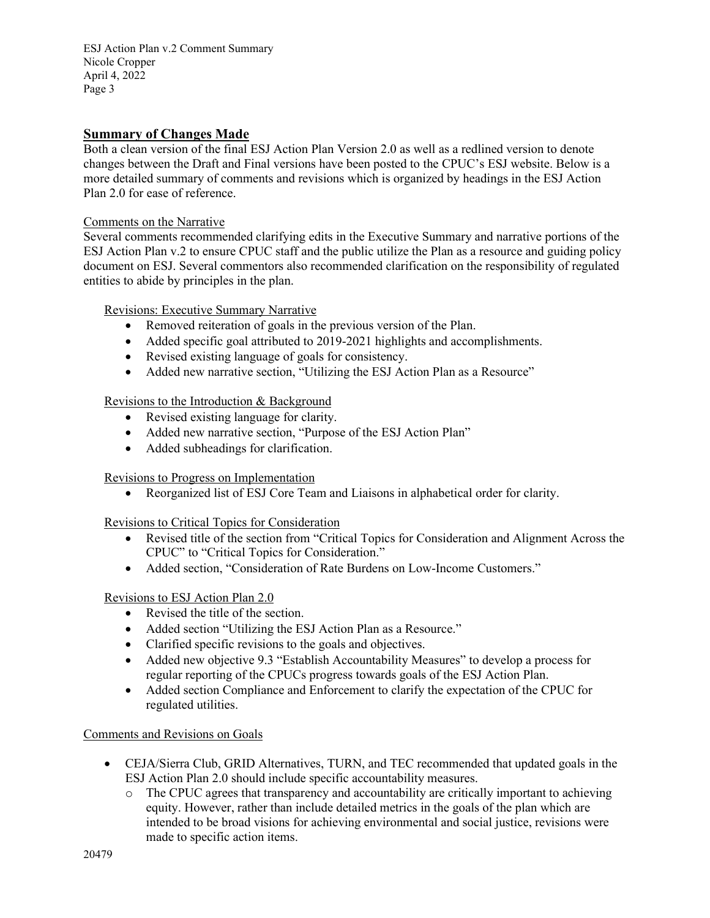# **Summary of Changes Made**

Both a clean version of the final ESJ Action Plan Version 2.0 as well as a redlined version to denote changes between the Draft and Final versions have been posted to the CPUC's ESJ website. Below is a more detailed summary of comments and revisions which is organized by headings in the ESJ Action Plan 2.0 for ease of reference.

#### Comments on the Narrative

Several comments recommended clarifying edits in the Executive Summary and narrative portions of the ESJ Action Plan v.2 to ensure CPUC staff and the public utilize the Plan as a resource and guiding policy document on ESJ. Several commentors also recommended clarification on the responsibility of regulated entities to abide by principles in the plan.

Revisions: Executive Summary Narrative

- Removed reiteration of goals in the previous version of the Plan.
- Added specific goal attributed to 2019-2021 highlights and accomplishments.
- Revised existing language of goals for consistency.
- Added new narrative section, "Utilizing the ESJ Action Plan as a Resource"

Revisions to the Introduction & Background

- Revised existing language for clarity.
- Added new narrative section, "Purpose of the ESJ Action Plan"
- Added subheadings for clarification.

Revisions to Progress on Implementation

• Reorganized list of ESJ Core Team and Liaisons in alphabetical order for clarity.

Revisions to Critical Topics for Consideration

- Revised title of the section from "Critical Topics for Consideration and Alignment Across the CPUC" to "Critical Topics for Consideration."
- Added section, "Consideration of Rate Burdens on Low-Income Customers."

## Revisions to ESJ Action Plan 2.0

- Revised the title of the section.
- Added section "Utilizing the ESJ Action Plan as a Resource."
- Clarified specific revisions to the goals and objectives.
- Added new objective 9.3 "Establish Accountability Measures" to develop a process for regular reporting of the CPUCs progress towards goals of the ESJ Action Plan.
- Added section Compliance and Enforcement to clarify the expectation of the CPUC for regulated utilities.

## Comments and Revisions on Goals

- CEJA/Sierra Club, GRID Alternatives, TURN, and TEC recommended that updated goals in the ESJ Action Plan 2.0 should include specific accountability measures.
	- o The CPUC agrees that transparency and accountability are critically important to achieving equity. However, rather than include detailed metrics in the goals of the plan which are intended to be broad visions for achieving environmental and social justice, revisions were made to specific action items.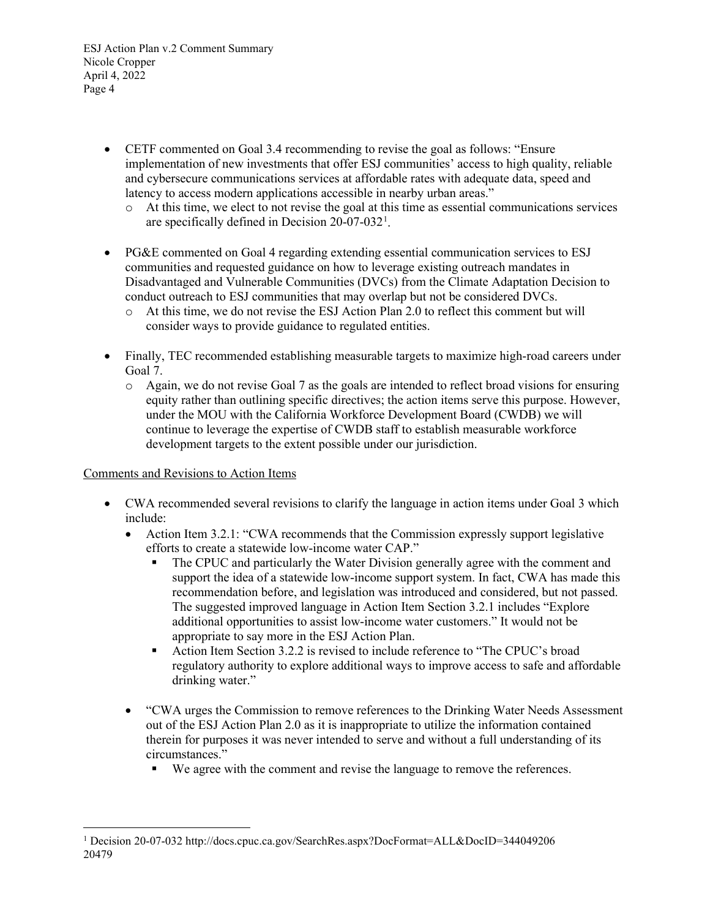- CETF commented on Goal 3.4 recommending to revise the goal as follows: "Ensure implementation of new investments that offer ESJ communities' access to high quality, reliable and cybersecure communications services at affordable rates with adequate data, speed and latency to access modern applications accessible in nearby urban areas."
	- o At this time, we elect to not revise the goal at this time as essential communications services are specifically defined in Decision  $20-07-032$ <sup>[1](#page-3-0)</sup>.
- PG&E commented on Goal 4 regarding extending essential communication services to ESJ communities and requested guidance on how to leverage existing outreach mandates in Disadvantaged and Vulnerable Communities (DVCs) from the Climate Adaptation Decision to conduct outreach to ESJ communities that may overlap but not be considered DVCs.
	- o At this time, we do not revise the ESJ Action Plan 2.0 to reflect this comment but will consider ways to provide guidance to regulated entities.
- Finally, TEC recommended establishing measurable targets to maximize high-road careers under Goal 7.
	- o Again, we do not revise Goal 7 as the goals are intended to reflect broad visions for ensuring equity rather than outlining specific directives; the action items serve this purpose. However, under the MOU with the California Workforce Development Board (CWDB) we will continue to leverage the expertise of CWDB staff to establish measurable workforce development targets to the extent possible under our jurisdiction.

## Comments and Revisions to Action Items

- CWA recommended several revisions to clarify the language in action items under Goal 3 which include:
	- Action Item 3.2.1: "CWA recommends that the Commission expressly support legislative efforts to create a statewide low-income water CAP."
		- The CPUC and particularly the Water Division generally agree with the comment and support the idea of a statewide low-income support system. In fact, CWA has made this recommendation before, and legislation was introduced and considered, but not passed. The suggested improved language in Action Item Section 3.2.1 includes "Explore additional opportunities to assist low-income water customers." It would not be appropriate to say more in the ESJ Action Plan.
		- Action Item Section 3.2.2 is revised to include reference to "The CPUC's broad regulatory authority to explore additional ways to improve access to safe and affordable drinking water."
	- "CWA urges the Commission to remove references to the Drinking Water Needs Assessment out of the ESJ Action Plan 2.0 as it is inappropriate to utilize the information contained therein for purposes it was never intended to serve and without a full understanding of its circumstances."
		- We agree with the comment and revise the language to remove the references.

<span id="page-3-0"></span><sup>20479</sup> <sup>1</sup> Decision 20-07-032 http://docs.cpuc.ca.gov/SearchRes.aspx?DocFormat=ALL&DocID=344049206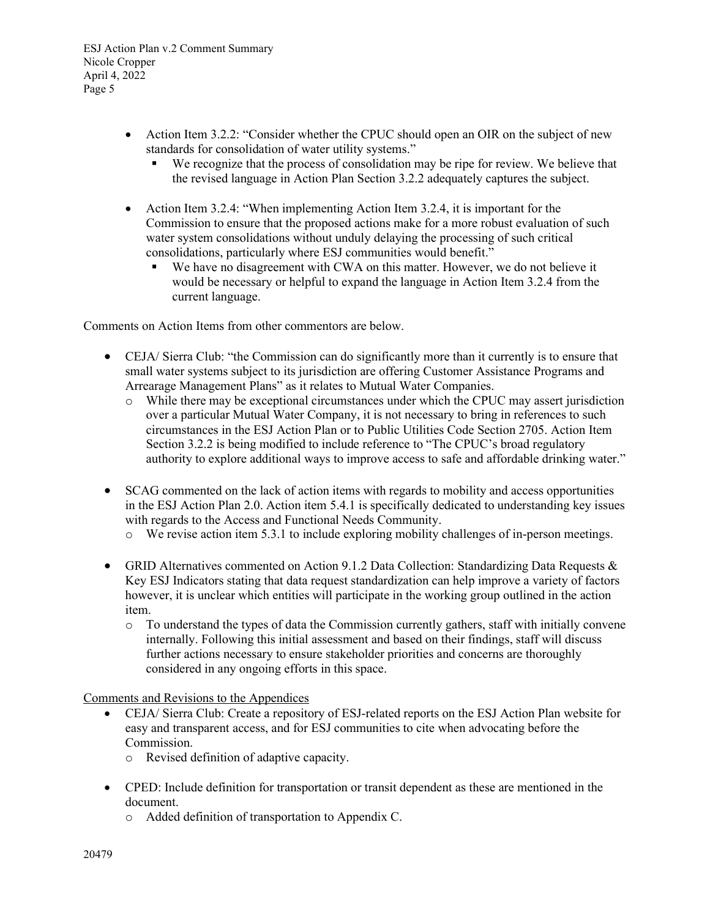- Action Item 3.2.2: "Consider whether the CPUC should open an OIR on the subject of new standards for consolidation of water utility systems."
	- We recognize that the process of consolidation may be ripe for review. We believe that the revised language in Action Plan Section 3.2.2 adequately captures the subject.
- Action Item 3.2.4: "When implementing Action Item 3.2.4, it is important for the Commission to ensure that the proposed actions make for a more robust evaluation of such water system consolidations without unduly delaying the processing of such critical consolidations, particularly where ESJ communities would benefit."
	- We have no disagreement with CWA on this matter. However, we do not believe it would be necessary or helpful to expand the language in Action Item 3.2.4 from the current language.

Comments on Action Items from other commentors are below.

- CEJA/ Sierra Club: "the Commission can do significantly more than it currently is to ensure that small water systems subject to its jurisdiction are offering Customer Assistance Programs and Arrearage Management Plans" as it relates to Mutual Water Companies.
	- o While there may be exceptional circumstances under which the CPUC may assert jurisdiction over a particular Mutual Water Company, it is not necessary to bring in references to such circumstances in the ESJ Action Plan or to Public Utilities Code Section 2705. Action Item Section 3.2.2 is being modified to include reference to "The CPUC's broad regulatory authority to explore additional ways to improve access to safe and affordable drinking water."
- SCAG commented on the lack of action items with regards to mobility and access opportunities in the ESJ Action Plan 2.0. Action item 5.4.1 is specifically dedicated to understanding key issues with regards to the Access and Functional Needs Community.
	- o We revise action item 5.3.1 to include exploring mobility challenges of in-person meetings.
- GRID Alternatives commented on Action 9.1.2 Data Collection: Standardizing Data Requests  $\&$ Key ESJ Indicators stating that data request standardization can help improve a variety of factors however, it is unclear which entities will participate in the working group outlined in the action item.
	- o To understand the types of data the Commission currently gathers, staff with initially convene internally. Following this initial assessment and based on their findings, staff will discuss further actions necessary to ensure stakeholder priorities and concerns are thoroughly considered in any ongoing efforts in this space.

Comments and Revisions to the Appendices

- CEJA/ Sierra Club: Create a repository of ESJ-related reports on the ESJ Action Plan website for easy and transparent access, and for ESJ communities to cite when advocating before the Commission.
	- o Revised definition of adaptive capacity.
- CPED: Include definition for transportation or transit dependent as these are mentioned in the document.
	- o Added definition of transportation to Appendix C.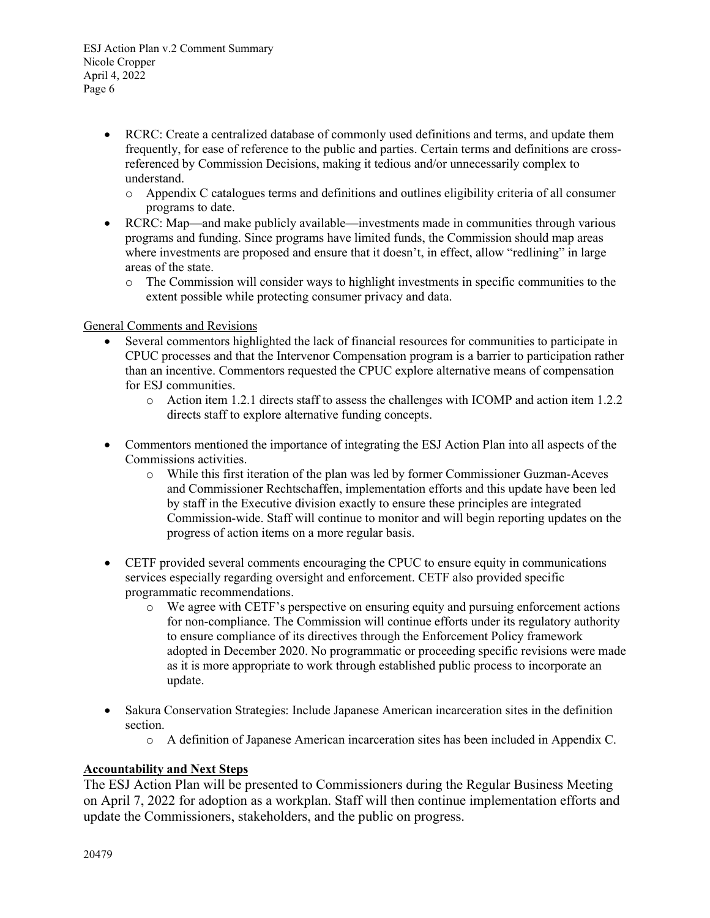- RCRC: Create a centralized database of commonly used definitions and terms, and update them frequently, for ease of reference to the public and parties. Certain terms and definitions are crossreferenced by Commission Decisions, making it tedious and/or unnecessarily complex to understand.
	- o Appendix C catalogues terms and definitions and outlines eligibility criteria of all consumer programs to date.
- RCRC: Map—and make publicly available—investments made in communities through various programs and funding. Since programs have limited funds, the Commission should map areas where investments are proposed and ensure that it doesn't, in effect, allow "redlining" in large areas of the state.
	- o The Commission will consider ways to highlight investments in specific communities to the extent possible while protecting consumer privacy and data.

#### General Comments and Revisions

- Several commentors highlighted the lack of financial resources for communities to participate in CPUC processes and that the Intervenor Compensation program is a barrier to participation rather than an incentive. Commentors requested the CPUC explore alternative means of compensation for ESJ communities.
	- o Action item 1.2.1 directs staff to assess the challenges with ICOMP and action item 1.2.2 directs staff to explore alternative funding concepts.
- Commentors mentioned the importance of integrating the ESJ Action Plan into all aspects of the Commissions activities.
	- o While this first iteration of the plan was led by former Commissioner Guzman-Aceves and Commissioner Rechtschaffen, implementation efforts and this update have been led by staff in the Executive division exactly to ensure these principles are integrated Commission-wide. Staff will continue to monitor and will begin reporting updates on the progress of action items on a more regular basis.
- CETF provided several comments encouraging the CPUC to ensure equity in communications services especially regarding oversight and enforcement. CETF also provided specific programmatic recommendations.
	- o We agree with CETF's perspective on ensuring equity and pursuing enforcement actions for non-compliance. The Commission will continue efforts under its regulatory authority to ensure compliance of its directives through the Enforcement Policy framework adopted in December 2020. No programmatic or proceeding specific revisions were made as it is more appropriate to work through established public process to incorporate an update.
- Sakura Conservation Strategies: Include Japanese American incarceration sites in the definition section.
	- o A definition of Japanese American incarceration sites has been included in Appendix C.

## **Accountability and Next Steps**

The ESJ Action Plan will be presented to Commissioners during the Regular Business Meeting on April 7, 2022 for adoption as a workplan. Staff will then continue implementation efforts and update the Commissioners, stakeholders, and the public on progress.